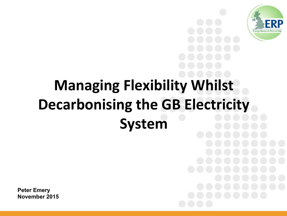

## **Managing Flexibility Whilst Decarbonising the GB Electricity System**

**Peter Emery November 2015**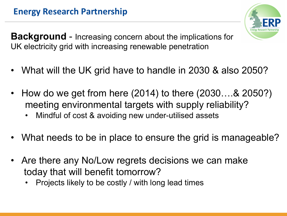

**Background** - Increasing concern about the implications for UK electricity grid with increasing renewable penetration

- What will the UK grid have to handle in 2030 & also 2050?
- How do we get from here (2014) to there (2030....& 2050?) meeting environmental targets with supply reliability?
	- Mindful of cost & avoiding new under-utilised assets
- What needs to be in place to ensure the grid is manageable?
- Are there any No/Low regrets decisions we can make today that will benefit tomorrow?
	- Projects likely to be costly / with long lead times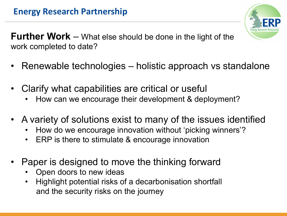

**Further Work** – What else should be done in the light of the work completed to date?

- Renewable technologies holistic approach vs standalone
- Clarify what capabilities are critical or useful
	- How can we encourage their development & deployment?
- A variety of solutions exist to many of the issues identified
	- How do we encourage innovation without 'picking winners'?
	- ERP is there to stimulate & encourage innovation
- Paper is designed to move the thinking forward
	- Open doors to new ideas
	- Highlight potential risks of a decarbonisation shortfall and the security risks on the journey